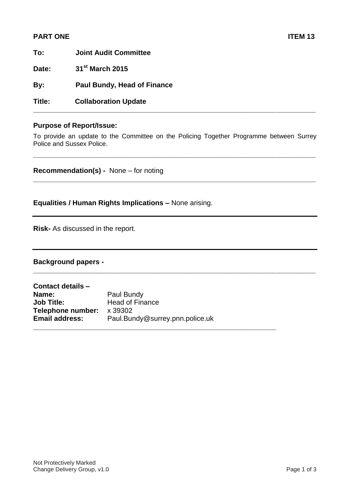# **PART ONE** ITEM 13

| To:    | <b>Joint Audit Committee</b>       |  |  |
|--------|------------------------------------|--|--|
| Date:  | 31 <sup>st</sup> March 2015        |  |  |
| By:    | <b>Paul Bundy, Head of Finance</b> |  |  |
| Title: | <b>Collaboration Update</b>        |  |  |

### **Purpose of Report/Issue:**

To provide an update to the Committee on the Policing Together Programme between Surrey Police and Sussex Police.

**\_\_\_\_\_\_\_\_\_\_\_\_\_\_\_\_\_\_\_\_\_\_\_\_\_\_\_\_\_\_\_\_\_\_\_\_\_\_\_\_\_\_\_\_\_\_\_\_\_\_\_\_\_\_\_\_\_\_\_\_\_\_\_\_\_\_\_\_\_\_\_\_**

**\_\_\_\_\_\_\_\_\_\_\_\_\_\_\_\_\_\_\_\_\_\_\_\_\_\_\_\_\_\_\_\_\_\_\_\_\_\_\_\_\_\_\_\_\_\_\_\_\_\_\_\_\_\_\_\_\_\_\_\_\_\_\_\_\_\_\_\_\_\_\_\_**

**\_\_\_\_\_\_\_\_\_\_\_\_\_\_\_\_\_\_\_\_\_\_\_\_\_\_\_\_\_\_\_\_\_\_\_\_\_\_\_\_\_\_\_\_\_\_\_\_\_\_\_\_\_\_\_\_\_\_\_\_\_\_\_\_\_\_\_\_\_\_\_\_**

**\_\_\_\_\_\_\_\_\_\_\_\_\_\_\_\_\_\_\_\_\_\_\_\_\_\_\_\_\_\_\_\_\_\_\_\_\_\_\_\_\_\_\_\_\_\_\_\_\_\_\_\_\_\_\_\_\_\_\_\_\_\_\_\_\_\_\_\_\_\_\_\_**

**Recommendation(s) -** None – for noting

**Equalities / Human Rights Implications –** None arising.

**Risk-** As discussed in the report.

## **Background papers -**

| Contact details -         |                                 |
|---------------------------|---------------------------------|
| Name:                     | Paul Bundy                      |
| <b>Job Title:</b>         | <b>Head of Finance</b>          |
| Telephone number: x 39302 |                                 |
| <b>Email address:</b>     | Paul.Bundy@surrey.pnn.police.uk |
|                           |                                 |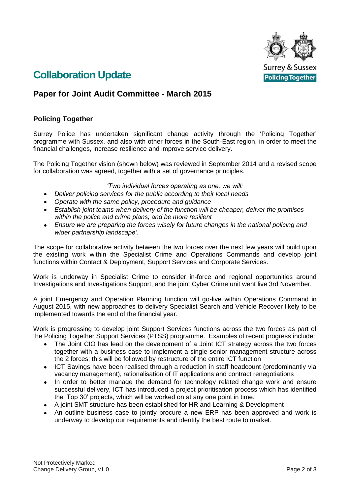

# **Collaboration Update**

# **Paper for Joint Audit Committee - March 2015**

# **Policing Together**

Surrey Police has undertaken significant change activity through the 'Policing Together' programme with Sussex, and also with other forces in the South-East region, in order to meet the financial challenges, increase resilience and improve service delivery.

The Policing Together vision (shown below) was reviewed in September 2014 and a revised scope for collaboration was agreed, together with a set of governance principles.

*'Two individual forces operating as one, we will:*

- *Deliver policing services for the public according to their local needs*
- *Operate with the same policy, procedure and guidance*
- *Establish joint teams when delivery of the function will be cheaper, deliver the promises within the police and crime plans; and be more resilient*
- *Ensure we are preparing the forces wisely for future changes in the national policing and wider partnership landscape'.*

The scope for collaborative activity between the two forces over the next few years will build upon the existing work within the Specialist Crime and Operations Commands and develop joint functions within Contact & Deployment, Support Services and Corporate Services.

Work is underway in Specialist Crime to consider in-force and regional opportunities around Investigations and Investigations Support, and the joint Cyber Crime unit went live 3rd November.

A joint Emergency and Operation Planning function will go-live within Operations Command in August 2015, with new approaches to delivery Specialist Search and Vehicle Recover likely to be implemented towards the end of the financial year.

Work is progressing to develop joint Support Services functions across the two forces as part of the Policing Together Support Services (PTSS) programme. Examples of recent progress include:

- The Joint CIO has lead on the development of a Joint ICT strategy across the two forces together with a business case to implement a single senior management structure across the 2 forces; this will be followed by restructure of the entire ICT function
- ICT Savings have been realised through a reduction in staff headcount (predominantly via vacancy management), rationalisation of IT applications and contract renegotiations
- In order to better manage the demand for technology related change work and ensure  $\bullet$ successful delivery, ICT has introduced a project prioritisation process which has identified the 'Top 30' projects, which will be worked on at any one point in time.
- $\bullet$ A joint SMT structure has been established for HR and Learning & Development
- An outline business case to jointly procure a new ERP has been approved and work is underway to develop our requirements and identify the best route to market.